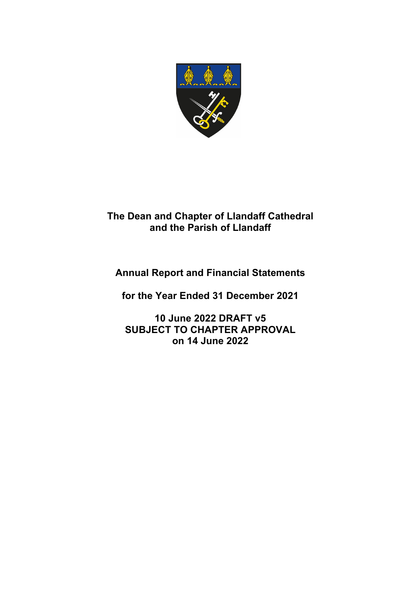

# **The Dean and Chapter of Llandaff Cathedral and the Parish of Llandaff**

# **Annual Report and Financial Statements**

**for the Year Ended 31 December 2021**

**10 June 2022 DRAFT v5 SUBJECT TO CHAPTER APPROVAL on 14 June 2022**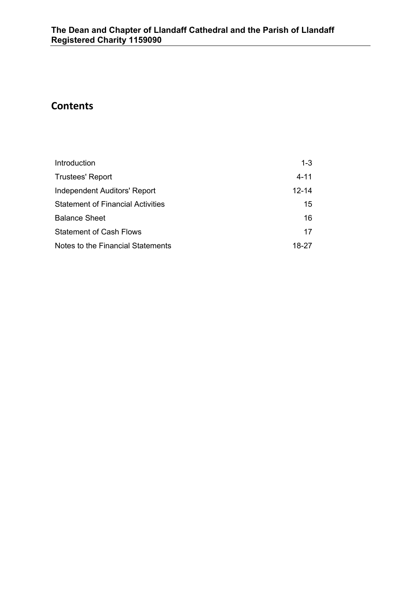# **Contents**

| Introduction                             | $1 - 3$ |
|------------------------------------------|---------|
| <b>Trustees' Report</b>                  | 4-11    |
| Independent Auditors' Report             | 12-14   |
| <b>Statement of Financial Activities</b> | 15      |
| <b>Balance Sheet</b>                     | 16      |
| <b>Statement of Cash Flows</b>           | 17      |
| Notes to the Financial Statements        | 18-27   |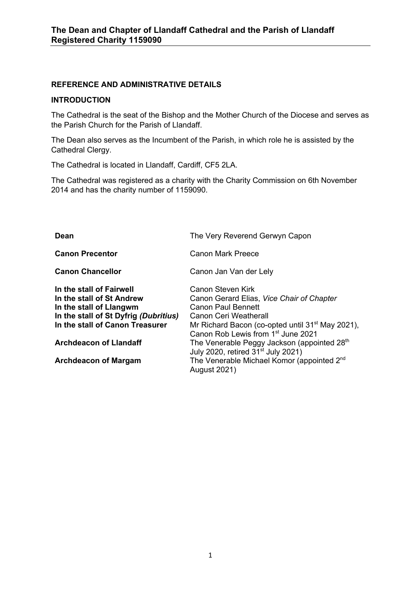## **REFERENCE AND ADMINISTRATIVE DETAILS**

#### **INTRODUCTION**

The Cathedral is the seat of the Bishop and the Mother Church of the Diocese and serves as the Parish Church for the Parish of Llandaff.

The Dean also serves as the Incumbent of the Parish, in which role he is assisted by the Cathedral Clergy.

The Cathedral is located in Llandaff, Cardiff, CF5 2LA.

The Cathedral was registered as a charity with the Charity Commission on 6th November 2014 and has the charity number of 1159090.

| Dean                                                                                                                                                                                          | The Very Reverend Gerwyn Capon                                                                                                                                                                                                                                                                    |
|-----------------------------------------------------------------------------------------------------------------------------------------------------------------------------------------------|---------------------------------------------------------------------------------------------------------------------------------------------------------------------------------------------------------------------------------------------------------------------------------------------------|
| <b>Canon Precentor</b>                                                                                                                                                                        | Canon Mark Preece                                                                                                                                                                                                                                                                                 |
| <b>Canon Chancellor</b>                                                                                                                                                                       | Canon Jan Van der Lely                                                                                                                                                                                                                                                                            |
| In the stall of Fairwell<br>In the stall of St Andrew<br>In the stall of Llangwm<br>In the stall of St Dyfrig (Dubritius)<br>In the stall of Canon Treasurer<br><b>Archdeacon of Llandaff</b> | Canon Steven Kirk<br>Canon Gerard Elias, Vice Chair of Chapter<br><b>Canon Paul Bennett</b><br>Canon Ceri Weatherall<br>Mr Richard Bacon (co-opted until 31 <sup>st</sup> May 2021),<br>Canon Rob Lewis from 1 <sup>st</sup> June 2021<br>The Venerable Peggy Jackson (appointed 28 <sup>th</sup> |
| <b>Archdeacon of Margam</b>                                                                                                                                                                   | July 2020, retired 31 <sup>st</sup> July 2021)<br>The Venerable Michael Komor (appointed 2 <sup>nd</sup><br><b>August 2021)</b>                                                                                                                                                                   |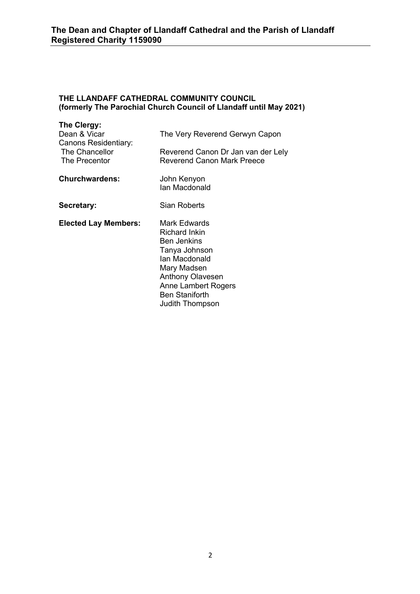## **THE LLANDAFF CATHEDRAL COMMUNITY COUNCIL (formerly The Parochial Church Council of Llandaff until May 2021)**

| The Clergy:<br>Dean & Vicar<br>Canons Residentiary:<br>The Chancellor<br>The Precentor | The Very Reverend Gerwyn Capon<br>Reverend Canon Dr Jan van der Lely<br>Reverend Canon Mark Preece                                                                                                        |
|----------------------------------------------------------------------------------------|-----------------------------------------------------------------------------------------------------------------------------------------------------------------------------------------------------------|
| <b>Churchwardens:</b>                                                                  | John Kenyon<br>Ian Macdonald                                                                                                                                                                              |
| Secretary:                                                                             | Sian Roberts                                                                                                                                                                                              |
| <b>Elected Lay Members:</b>                                                            | Mark Edwards<br>Richard Inkin<br><b>Ben Jenkins</b><br>Tanya Johnson<br>Ian Macdonald<br>Mary Madsen<br><b>Anthony Olavesen</b><br><b>Anne Lambert Rogers</b><br><b>Ben Staniforth</b><br>Judith Thompson |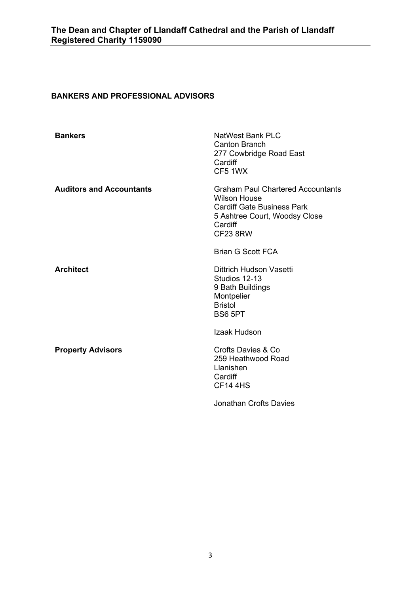## **BANKERS AND PROFESSIONAL ADVISORS**

| <b>Bankers</b>                  | <b>NatWest Bank PLC</b><br><b>Canton Branch</b><br>277 Cowbridge Road East<br>Cardiff<br>CF5 1WX                                                                    |
|---------------------------------|---------------------------------------------------------------------------------------------------------------------------------------------------------------------|
| <b>Auditors and Accountants</b> | <b>Graham Paul Chartered Accountants</b><br><b>Wilson House</b><br><b>Cardiff Gate Business Park</b><br>5 Ashtree Court, Woodsy Close<br>Cardiff<br><b>CF23 8RW</b> |
|                                 | <b>Brian G Scott FCA</b>                                                                                                                                            |
| <b>Architect</b>                | Dittrich Hudson Vasetti<br>Studios 12-13<br>9 Bath Buildings<br>Montpelier<br><b>Bristol</b><br>BS6 5PT                                                             |
|                                 | Izaak Hudson                                                                                                                                                        |
| <b>Property Advisors</b>        | Crofts Davies & Co.<br>259 Heathwood Road<br>Llanishen<br>Cardiff<br><b>CF14 4HS</b>                                                                                |
|                                 | <b>Jonathan Crofts Davies</b>                                                                                                                                       |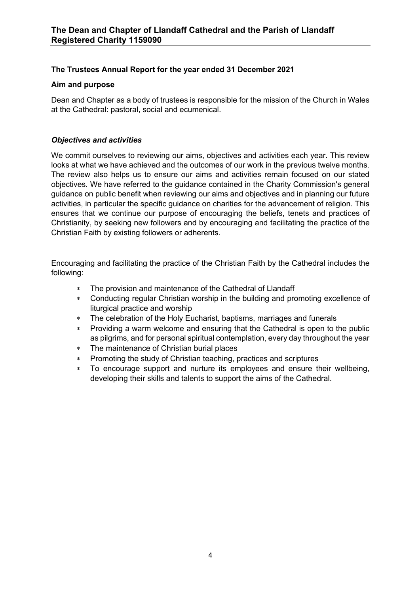## **The Trustees Annual Report for the year ended 31 December 2021**

## **Aim and purpose**

Dean and Chapter as a body of trustees is responsible for the mission of the Church in Wales at the Cathedral: pastoral, social and ecumenical.

## *Objectives and activities*

We commit ourselves to reviewing our aims, objectives and activities each year. This review looks at what we have achieved and the outcomes of our work in the previous twelve months. The review also helps us to ensure our aims and activities remain focused on our stated objectives. We have referred to the guidance contained in the Charity Commission's general guidance on public benefit when reviewing our aims and objectives and in planning our future activities, in particular the specific guidance on charities for the advancement of religion. This ensures that we continue our purpose of encouraging the beliefs, tenets and practices of Christianity, by seeking new followers and by encouraging and facilitating the practice of the Christian Faith by existing followers or adherents.

Encouraging and facilitating the practice of the Christian Faith by the Cathedral includes the following:

- \* The provision and maintenance of the Cathedral of Llandaff
- \* Conducting regular Christian worship in the building and promoting excellence of liturgical practice and worship
- \* The celebration of the Holy Eucharist, baptisms, marriages and funerals
- \* Providing a warm welcome and ensuring that the Cathedral is open to the public as pilgrims, and for personal spiritual contemplation, every day throughout the year
- The maintenance of Christian burial places
- Promoting the study of Christian teaching, practices and scriptures
- To encourage support and nurture its employees and ensure their wellbeing, developing their skills and talents to support the aims of the Cathedral.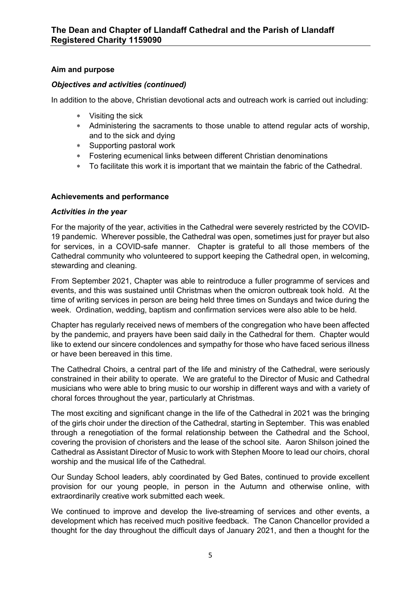## **Aim and purpose**

## *Objectives and activities (continued)*

In addition to the above, Christian devotional acts and outreach work is carried out including:

- \* Visiting the sick
- \* Administering the sacraments to those unable to attend regular acts of worship, and to the sick and dying
- \* Supporting pastoral work
- \* Fostering ecumenical links between different Christian denominations
- \* To facilitate this work it is important that we maintain the fabric of the Cathedral.

## **Achievements and performance**

## *Activities in the year*

For the majority of the year, activities in the Cathedral were severely restricted by the COVID-19 pandemic. Wherever possible, the Cathedral was open, sometimes just for prayer but also for services, in a COVID-safe manner. Chapter is grateful to all those members of the Cathedral community who volunteered to support keeping the Cathedral open, in welcoming, stewarding and cleaning.

From September 2021, Chapter was able to reintroduce a fuller programme of services and events, and this was sustained until Christmas when the omicron outbreak took hold. At the time of writing services in person are being held three times on Sundays and twice during the week. Ordination, wedding, baptism and confirmation services were also able to be held.

Chapter has regularly received news of members of the congregation who have been affected by the pandemic, and prayers have been said daily in the Cathedral for them. Chapter would like to extend our sincere condolences and sympathy for those who have faced serious illness or have been bereaved in this time.

The Cathedral Choirs, a central part of the life and ministry of the Cathedral, were seriously constrained in their ability to operate. We are grateful to the Director of Music and Cathedral musicians who were able to bring music to our worship in different ways and with a variety of choral forces throughout the year, particularly at Christmas.

The most exciting and significant change in the life of the Cathedral in 2021 was the bringing of the girls choir under the direction of the Cathedral, starting in September. This was enabled through a renegotiation of the formal relationship between the Cathedral and the School, covering the provision of choristers and the lease of the school site. Aaron Shilson joined the Cathedral as Assistant Director of Music to work with Stephen Moore to lead our choirs, choral worship and the musical life of the Cathedral.

Our Sunday School leaders, ably coordinated by Ged Bates, continued to provide excellent provision for our young people, in person in the Autumn and otherwise online, with extraordinarily creative work submitted each week.

We continued to improve and develop the live-streaming of services and other events, a development which has received much positive feedback. The Canon Chancellor provided a thought for the day throughout the difficult days of January 2021, and then a thought for the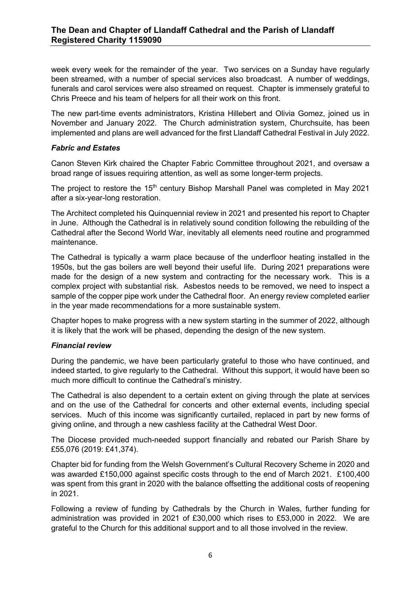week every week for the remainder of the year. Two services on a Sunday have regularly been streamed, with a number of special services also broadcast. A number of weddings, funerals and carol services were also streamed on request. Chapter is immensely grateful to Chris Preece and his team of helpers for all their work on this front.

The new part-time events administrators, Kristina Hillebert and Olivia Gomez, joined us in November and January 2022. The Church administration system, Churchsuite, has been implemented and plans are well advanced for the first Llandaff Cathedral Festival in July 2022.

## *Fabric and Estates*

Canon Steven Kirk chaired the Chapter Fabric Committee throughout 2021, and oversaw a broad range of issues requiring attention, as well as some longer-term projects.

The project to restore the 15<sup>th</sup> century Bishop Marshall Panel was completed in May 2021 after a six-year-long restoration.

The Architect completed his Quinquennial review in 2021 and presented his report to Chapter in June. Although the Cathedral is in relatively sound condition following the rebuilding of the Cathedral after the Second World War, inevitably all elements need routine and programmed maintenance.

The Cathedral is typically a warm place because of the underfloor heating installed in the 1950s, but the gas boilers are well beyond their useful life. During 2021 preparations were made for the design of a new system and contracting for the necessary work. This is a complex project with substantial risk. Asbestos needs to be removed, we need to inspect a sample of the copper pipe work under the Cathedral floor. An energy review completed earlier in the year made recommendations for a more sustainable system.

Chapter hopes to make progress with a new system starting in the summer of 2022, although it is likely that the work will be phased, depending the design of the new system.

## *Financial review*

During the pandemic, we have been particularly grateful to those who have continued, and indeed started, to give regularly to the Cathedral. Without this support, it would have been so much more difficult to continue the Cathedral's ministry.

The Cathedral is also dependent to a certain extent on giving through the plate at services and on the use of the Cathedral for concerts and other external events, including special services. Much of this income was significantly curtailed, replaced in part by new forms of giving online, and through a new cashless facility at the Cathedral West Door.

The Diocese provided much-needed support financially and rebated our Parish Share by £55,076 (2019: £41,374).

Chapter bid for funding from the Welsh Government's Cultural Recovery Scheme in 2020 and was awarded £150,000 against specific costs through to the end of March 2021. £100,400 was spent from this grant in 2020 with the balance offsetting the additional costs of reopening in 2021.

Following a review of funding by Cathedrals by the Church in Wales, further funding for administration was provided in 2021 of £30,000 which rises to £53,000 in 2022. We are grateful to the Church for this additional support and to all those involved in the review.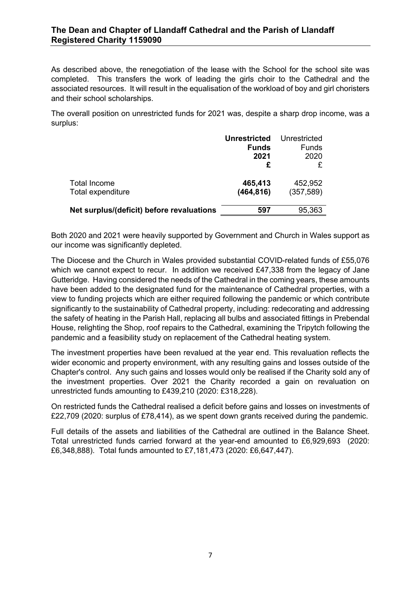## **The Dean and Chapter of Llandaff Cathedral and the Parish of Llandaff Registered Charity 1159090**

As described above, the renegotiation of the lease with the School for the school site was completed. This transfers the work of leading the girls choir to the Cathedral and the associated resources. It will result in the equalisation of the workload of boy and girl choristers and their school scholarships.

The overall position on unrestricted funds for 2021 was, despite a sharp drop income, was a surplus:

|                                           | <b>Unrestricted</b><br><b>Funds</b><br>2021<br>£ | Unrestricted<br>Funds<br>2020 |
|-------------------------------------------|--------------------------------------------------|-------------------------------|
| <b>Total Income</b><br>Total expenditure  | 465,413<br>(464, 816)                            | 452,952<br>(357, 589)         |
| Net surplus/(deficit) before revaluations | 597                                              | 95,363                        |

Both 2020 and 2021 were heavily supported by Government and Church in Wales support as our income was significantly depleted.

The Diocese and the Church in Wales provided substantial COVID-related funds of £55,076 which we cannot expect to recur. In addition we received £47,338 from the legacy of Jane Gutteridge. Having considered the needs of the Cathedral in the coming years, these amounts have been added to the designated fund for the maintenance of Cathedral properties, with a view to funding projects which are either required following the pandemic or which contribute significantly to the sustainability of Cathedral property, including: redecorating and addressing the safety of heating in the Parish Hall, replacing all bulbs and associated fittings in Prebendal House, relighting the Shop, roof repairs to the Cathedral, examining the Tripytch following the pandemic and a feasibility study on replacement of the Cathedral heating system.

The investment properties have been revalued at the year end. This revaluation reflects the wider economic and property environment, with any resulting gains and losses outside of the Chapter's control. Any such gains and losses would only be realised if the Charity sold any of the investment properties. Over 2021 the Charity recorded a gain on revaluation on unrestricted funds amounting to £439,210 (2020: £318,228).

On restricted funds the Cathedral realised a deficit before gains and losses on investments of £22,709 (2020: surplus of £78,414), as we spent down grants received during the pandemic.

Full details of the assets and liabilities of the Cathedral are outlined in the Balance Sheet. Total unrestricted funds carried forward at the year-end amounted to £6,929,693 (2020: £6,348,888). Total funds amounted to £7,181,473 (2020: £6,647,447).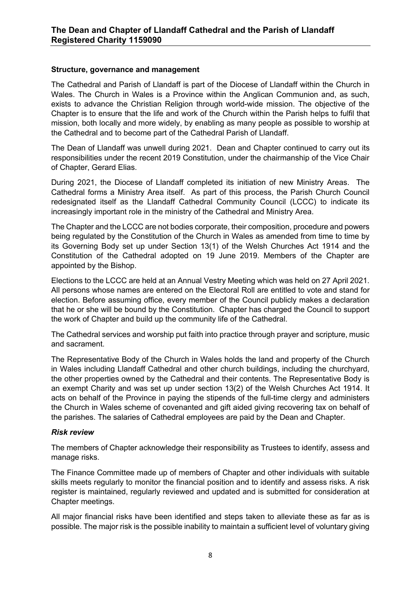## **Structure, governance and management**

The Cathedral and Parish of Llandaff is part of the Diocese of Llandaff within the Church in Wales. The Church in Wales is a Province within the Anglican Communion and, as such, exists to advance the Christian Religion through world-wide mission. The objective of the Chapter is to ensure that the life and work of the Church within the Parish helps to fulfil that mission, both locally and more widely, by enabling as many people as possible to worship at the Cathedral and to become part of the Cathedral Parish of Llandaff.

The Dean of Llandaff was unwell during 2021. Dean and Chapter continued to carry out its responsibilities under the recent 2019 Constitution, under the chairmanship of the Vice Chair of Chapter, Gerard Elias.

During 2021, the Diocese of Llandaff completed its initiation of new Ministry Areas. The Cathedral forms a Ministry Area itself. As part of this process, the Parish Church Council redesignated itself as the Llandaff Cathedral Community Council (LCCC) to indicate its increasingly important role in the ministry of the Cathedral and Ministry Area.

The Chapter and the LCCC are not bodies corporate, their composition, procedure and powers being regulated by the Constitution of the Church in Wales as amended from time to time by its Governing Body set up under Section 13(1) of the Welsh Churches Act 1914 and the Constitution of the Cathedral adopted on 19 June 2019. Members of the Chapter are appointed by the Bishop.

Elections to the LCCC are held at an Annual Vestry Meeting which was held on 27 April 2021. All persons whose names are entered on the Electoral Roll are entitled to vote and stand for election. Before assuming office, every member of the Council publicly makes a declaration that he or she will be bound by the Constitution. Chapter has charged the Council to support the work of Chapter and build up the community life of the Cathedral.

The Cathedral services and worship put faith into practice through prayer and scripture, music and sacrament.

The Representative Body of the Church in Wales holds the land and property of the Church in Wales including Llandaff Cathedral and other church buildings, including the churchyard, the other properties owned by the Cathedral and their contents. The Representative Body is an exempt Charity and was set up under section 13(2) of the Welsh Churches Act 1914. It acts on behalf of the Province in paying the stipends of the full-time clergy and administers the Church in Wales scheme of covenanted and gift aided giving recovering tax on behalf of the parishes. The salaries of Cathedral employees are paid by the Dean and Chapter.

## *Risk review*

The members of Chapter acknowledge their responsibility as Trustees to identify, assess and manage risks.

The Finance Committee made up of members of Chapter and other individuals with suitable skills meets regularly to monitor the financial position and to identify and assess risks. A risk register is maintained, regularly reviewed and updated and is submitted for consideration at Chapter meetings.

All major financial risks have been identified and steps taken to alleviate these as far as is possible. The major risk is the possible inability to maintain a sufficient level of voluntary giving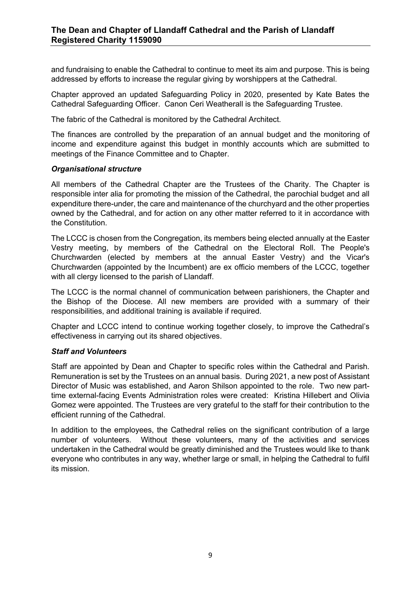and fundraising to enable the Cathedral to continue to meet its aim and purpose. This is being addressed by efforts to increase the regular giving by worshippers at the Cathedral.

Chapter approved an updated Safeguarding Policy in 2020, presented by Kate Bates the Cathedral Safeguarding Officer. Canon Ceri Weatherall is the Safeguarding Trustee.

The fabric of the Cathedral is monitored by the Cathedral Architect.

The finances are controlled by the preparation of an annual budget and the monitoring of income and expenditure against this budget in monthly accounts which are submitted to meetings of the Finance Committee and to Chapter.

## *Organisational structure*

All members of the Cathedral Chapter are the Trustees of the Charity. The Chapter is responsible inter alia for promoting the mission of the Cathedral, the parochial budget and all expenditure there-under, the care and maintenance of the churchyard and the other properties owned by the Cathedral, and for action on any other matter referred to it in accordance with the Constitution.

The LCCC is chosen from the Congregation, its members being elected annually at the Easter Vestry meeting, by members of the Cathedral on the Electoral Roll. The People's Churchwarden (elected by members at the annual Easter Vestry) and the Vicar's Churchwarden (appointed by the Incumbent) are ex officio members of the LCCC, together with all clergy licensed to the parish of Llandaff.

The LCCC is the normal channel of communication between parishioners, the Chapter and the Bishop of the Diocese. All new members are provided with a summary of their responsibilities, and additional training is available if required.

Chapter and LCCC intend to continue working together closely, to improve the Cathedral's effectiveness in carrying out its shared objectives.

## *Staff and Volunteers*

Staff are appointed by Dean and Chapter to specific roles within the Cathedral and Parish. Remuneration is set by the Trustees on an annual basis. During 2021, a new post of Assistant Director of Music was established, and Aaron Shilson appointed to the role. Two new parttime external-facing Events Administration roles were created: Kristina Hillebert and Olivia Gomez were appointed. The Trustees are very grateful to the staff for their contribution to the efficient running of the Cathedral.

In addition to the employees, the Cathedral relies on the significant contribution of a large number of volunteers. Without these volunteers, many of the activities and services undertaken in the Cathedral would be greatly diminished and the Trustees would like to thank everyone who contributes in any way, whether large or small, in helping the Cathedral to fulfil its mission.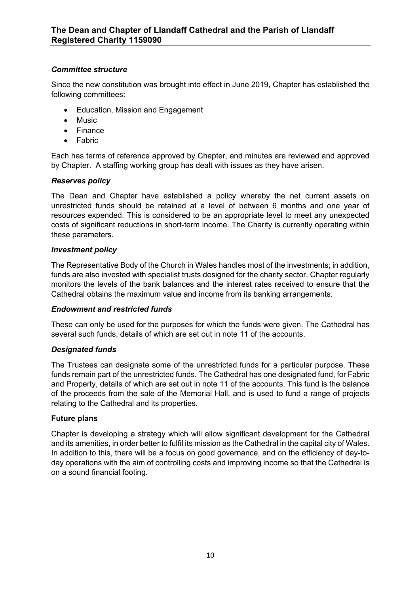## *Committee structure*

Since the new constitution was brought into effect in June 2019, Chapter has established the following committees:

- Education, Mission and Engagement
- Music
- Finance
- Fabric

Each has terms of reference approved by Chapter, and minutes are reviewed and approved by Chapter. A staffing working group has dealt with issues as they have arisen.

## *Reserves policy*

The Dean and Chapter have established a policy whereby the net current assets on unrestricted funds should be retained at a level of between 6 months and one year of resources expended. This is considered to be an appropriate level to meet any unexpected costs of significant reductions in short-term income. The Charity is currently operating within these parameters.

## *Investment policy*

The Representative Body of the Church in Wales handles most of the investments; in addition, funds are also invested with specialist trusts designed for the charity sector. Chapter regularly monitors the levels of the bank balances and the interest rates received to ensure that the Cathedral obtains the maximum value and income from its banking arrangements.

## *Endowment and restricted funds*

These can only be used for the purposes for which the funds were given. The Cathedral has several such funds, details of which are set out in note 11 of the accounts.

## *Designated funds*

The Trustees can designate some of the unrestricted funds for a particular purpose. These funds remain part of the unrestricted funds. The Cathedral has one designated fund, for Fabric and Property, details of which are set out in note 11 of the accounts. This fund is the balance of the proceeds from the sale of the Memorial Hall, and is used to fund a range of projects relating to the Cathedral and its properties.

## **Future plans**

Chapter is developing a strategy which will allow significant development for the Cathedral and its amenities, in order better to fulfil its mission as the Cathedral in the capital city of Wales. In addition to this, there will be a focus on good governance, and on the efficiency of day-today operations with the aim of controlling costs and improving income so that the Cathedral is on a sound financial footing.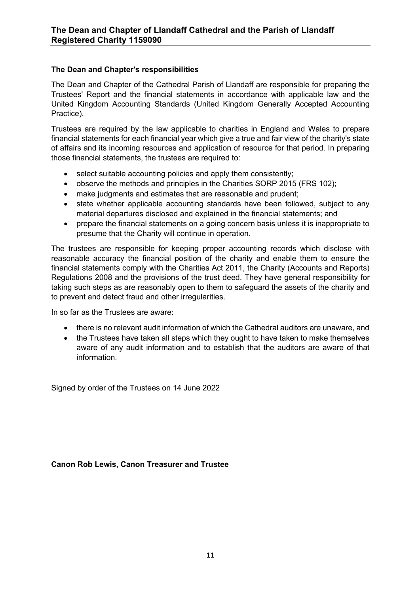## **The Dean and Chapter's responsibilities**

The Dean and Chapter of the Cathedral Parish of Llandaff are responsible for preparing the Trustees' Report and the financial statements in accordance with applicable law and the United Kingdom Accounting Standards (United Kingdom Generally Accepted Accounting Practice).

Trustees are required by the law applicable to charities in England and Wales to prepare financial statements for each financial year which give a true and fair view of the charity's state of affairs and its incoming resources and application of resource for that period. In preparing those financial statements, the trustees are required to:

- select suitable accounting policies and apply them consistently;
- observe the methods and principles in the Charities SORP 2015 (FRS 102);
- make judgments and estimates that are reasonable and prudent:
- state whether applicable accounting standards have been followed, subject to any material departures disclosed and explained in the financial statements; and
- prepare the financial statements on a going concern basis unless it is inappropriate to presume that the Charity will continue in operation.

The trustees are responsible for keeping proper accounting records which disclose with reasonable accuracy the financial position of the charity and enable them to ensure the financial statements comply with the Charities Act 2011, the Charity (Accounts and Reports) Regulations 2008 and the provisions of the trust deed. They have general responsibility for taking such steps as are reasonably open to them to safeguard the assets of the charity and to prevent and detect fraud and other irregularities.

In so far as the Trustees are aware:

- there is no relevant audit information of which the Cathedral auditors are unaware, and
- the Trustees have taken all steps which they ought to have taken to make themselves aware of any audit information and to establish that the auditors are aware of that information.

Signed by order of the Trustees on 14 June 2022

## **Canon Rob Lewis, Canon Treasurer and Trustee**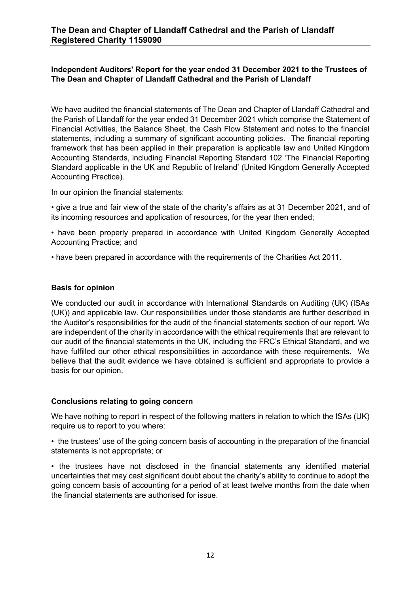## **Independent Auditors' Report for the year ended 31 December 2021 to the Trustees of The Dean and Chapter of Llandaff Cathedral and the Parish of Llandaff**

We have audited the financial statements of The Dean and Chapter of Llandaff Cathedral and the Parish of Llandaff for the year ended 31 December 2021 which comprise the Statement of Financial Activities, the Balance Sheet, the Cash Flow Statement and notes to the financial statements, including a summary of significant accounting policies. The financial reporting framework that has been applied in their preparation is applicable law and United Kingdom Accounting Standards, including Financial Reporting Standard 102 'The Financial Reporting Standard applicable in the UK and Republic of Ireland' (United Kingdom Generally Accepted Accounting Practice).

In our opinion the financial statements:

• give a true and fair view of the state of the charity's affairs as at 31 December 2021, and of its incoming resources and application of resources, for the year then ended;

• have been properly prepared in accordance with United Kingdom Generally Accepted Accounting Practice; and

• have been prepared in accordance with the requirements of the Charities Act 2011.

#### **Basis for opinion**

We conducted our audit in accordance with International Standards on Auditing (UK) (ISAs (UK)) and applicable law. Our responsibilities under those standards are further described in the Auditor's responsibilities for the audit of the financial statements section of our report. We are independent of the charity in accordance with the ethical requirements that are relevant to our audit of the financial statements in the UK, including the FRC's Ethical Standard, and we have fulfilled our other ethical responsibilities in accordance with these requirements. We believe that the audit evidence we have obtained is sufficient and appropriate to provide a basis for our opinion.

## **Conclusions relating to going concern**

We have nothing to report in respect of the following matters in relation to which the ISAs (UK) require us to report to you where:

• the trustees' use of the going concern basis of accounting in the preparation of the financial statements is not appropriate; or

• the trustees have not disclosed in the financial statements any identified material uncertainties that may cast significant doubt about the charity's ability to continue to adopt the going concern basis of accounting for a period of at least twelve months from the date when the financial statements are authorised for issue.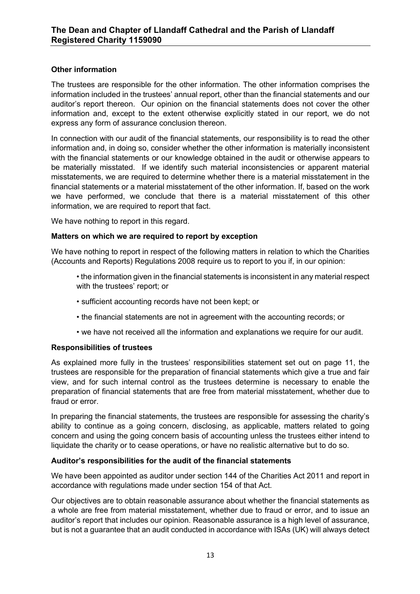## **Other information**

The trustees are responsible for the other information. The other information comprises the information included in the trustees' annual report, other than the financial statements and our auditor's report thereon. Our opinion on the financial statements does not cover the other information and, except to the extent otherwise explicitly stated in our report, we do not express any form of assurance conclusion thereon.

In connection with our audit of the financial statements, our responsibility is to read the other information and, in doing so, consider whether the other information is materially inconsistent with the financial statements or our knowledge obtained in the audit or otherwise appears to be materially misstated. If we identify such material inconsistencies or apparent material misstatements, we are required to determine whether there is a material misstatement in the financial statements or a material misstatement of the other information. If, based on the work we have performed, we conclude that there is a material misstatement of this other information, we are required to report that fact.

We have nothing to report in this regard.

## **Matters on which we are required to report by exception**

We have nothing to report in respect of the following matters in relation to which the Charities (Accounts and Reports) Regulations 2008 require us to report to you if, in our opinion:

- the information given in the financial statements is inconsistent in any material respect with the trustees' report; or
- sufficient accounting records have not been kept; or
- the financial statements are not in agreement with the accounting records; or
- we have not received all the information and explanations we require for our audit.

## **Responsibilities of trustees**

As explained more fully in the trustees' responsibilities statement set out on page 11, the trustees are responsible for the preparation of financial statements which give a true and fair view, and for such internal control as the trustees determine is necessary to enable the preparation of financial statements that are free from material misstatement, whether due to fraud or error.

In preparing the financial statements, the trustees are responsible for assessing the charity's ability to continue as a going concern, disclosing, as applicable, matters related to going concern and using the going concern basis of accounting unless the trustees either intend to liquidate the charity or to cease operations, or have no realistic alternative but to do so.

## **Auditor's responsibilities for the audit of the financial statements**

We have been appointed as auditor under section 144 of the Charities Act 2011 and report in accordance with regulations made under section 154 of that Act.

Our objectives are to obtain reasonable assurance about whether the financial statements as a whole are free from material misstatement, whether due to fraud or error, and to issue an auditor's report that includes our opinion. Reasonable assurance is a high level of assurance, but is not a guarantee that an audit conducted in accordance with ISAs (UK) will always detect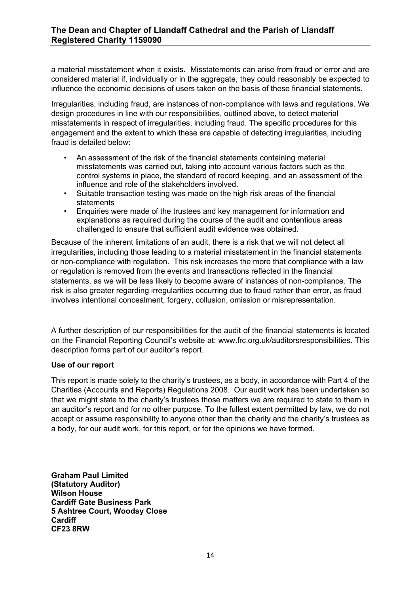a material misstatement when it exists. Misstatements can arise from fraud or error and are considered material if, individually or in the aggregate, they could reasonably be expected to influence the economic decisions of users taken on the basis of these financial statements.

Irregularities, including fraud, are instances of non-compliance with laws and regulations. We design procedures in line with our responsibilities, outlined above, to detect material misstatements in respect of irregularities, including fraud. The specific procedures for this engagement and the extent to which these are capable of detecting irregularities, including fraud is detailed below:

- An assessment of the risk of the financial statements containing material misstatements was carried out, taking into account various factors such as the control systems in place, the standard of record keeping, and an assessment of the influence and role of the stakeholders involved.
- Suitable transaction testing was made on the high risk areas of the financial statements
- Enquiries were made of the trustees and key management for information and explanations as required during the course of the audit and contentious areas challenged to ensure that sufficient audit evidence was obtained.

Because of the inherent limitations of an audit, there is a risk that we will not detect all irregularities, including those leading to a material misstatement in the financial statements or non-compliance with regulation. This risk increases the more that compliance with a law or regulation is removed from the events and transactions reflected in the financial statements, as we will be less likely to become aware of instances of non-compliance. The risk is also greater regarding irregularities occurring due to fraud rather than error, as fraud involves intentional concealment, forgery, collusion, omission or misrepresentation.

A further description of our responsibilities for the audit of the financial statements is located on the Financial Reporting Council's website at: www.frc.org.uk/auditorsresponsibilities. This description forms part of our auditor's report.

## **Use of our report**

This report is made solely to the charity's trustees, as a body, in accordance with Part 4 of the Charities (Accounts and Reports) Regulations 2008. Our audit work has been undertaken so that we might state to the charity's trustees those matters we are required to state to them in an auditor's report and for no other purpose. To the fullest extent permitted by law, we do not accept or assume responsibility to anyone other than the charity and the charity's trustees as a body, for our audit work, for this report, or for the opinions we have formed.

**Graham Paul Limited (Statutory Auditor) Wilson House Cardiff Gate Business Park 5 Ashtree Court, Woodsy Close Cardiff CF23 8RW**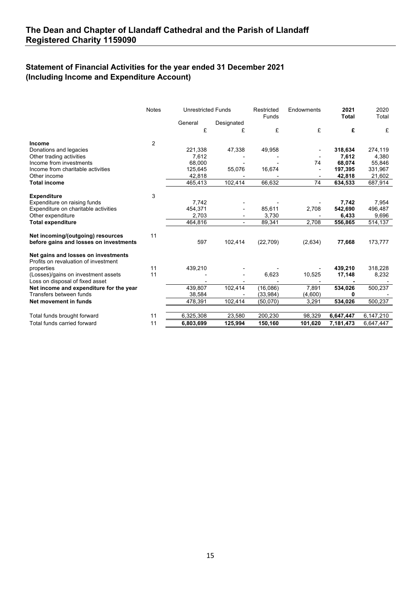## **Statement of Financial Activities for the year ended 31 December 2021 (Including Income and Expenditure Account)**

|                                                                             | <b>Notes</b> | <b>Unrestricted Funds</b> |                | Endowments<br>Restricted<br>Funds |         | 2021<br>Total | 2020<br>Total |
|-----------------------------------------------------------------------------|--------------|---------------------------|----------------|-----------------------------------|---------|---------------|---------------|
|                                                                             |              | General                   | Designated     |                                   |         |               |               |
|                                                                             |              | £                         | £              | £                                 | £       | £             | £             |
| Income                                                                      | 2            |                           |                |                                   |         |               |               |
| Donations and legacies                                                      |              | 221,338                   | 47,338         | 49,958                            |         | 318,634       | 274,119       |
| Other trading activities                                                    |              | 7,612                     |                |                                   |         | 7,612         | 4,380         |
| Income from investments                                                     |              | 68,000                    |                |                                   | 74      | 68,074        | 55,846        |
| Income from charitable activities                                           |              | 125,645                   | 55,076         | 16,674                            |         | 197,395       | 331,967       |
| Other income                                                                |              | 42,818                    |                |                                   |         | 42,818        | 21,602        |
| <b>Total income</b>                                                         |              | 465,413                   | 102,414        | 66,632                            | 74      | 634,533       | 687,914       |
| <b>Expenditure</b>                                                          | 3            |                           |                |                                   |         |               |               |
| Expenditure on raising funds                                                |              | 7.742                     |                |                                   |         | 7,742         | 7,954         |
| Expenditure on charitable activities                                        |              | 454,371                   |                | 85,611                            | 2,708   | 542,690       | 496,487       |
| Other expenditure                                                           |              | 2,703                     | $\blacksquare$ | 3,730                             |         | 6,433         | 9,696         |
| <b>Total expenditure</b>                                                    |              | 464,816                   | $\blacksquare$ | 89,341                            | 2,708   | 556,865       | 514,137       |
|                                                                             | 11           |                           |                |                                   |         |               |               |
| Net incoming/(outgoing) resources<br>before gains and losses on investments |              | 597                       | 102,414        | (22, 709)                         | (2,634) | 77,668        | 173,777       |
| Net gains and losses on investments<br>Profits on revaluation of investment |              |                           |                |                                   |         |               |               |
| properties                                                                  | 11           | 439,210                   |                |                                   |         | 439,210       | 318,228       |
| (Losses)/gains on investment assets                                         | 11           |                           |                | 6,623                             | 10,525  | 17,148        | 8,232         |
| Loss on disposal of fixed asset                                             |              |                           |                |                                   |         |               |               |
| Net income and expenditure for the year                                     |              | 439,807                   | 102,414        | (16,086)                          | 7,891   | 534,026       | 500,237       |
| Transfers between funds                                                     |              | 38,584                    |                | (33,984)                          | (4,600) | 0             |               |
| Net movement in funds                                                       |              | 478,391                   | 102,414        | (50,070)                          | 3,291   | 534,026       | 500,237       |
|                                                                             |              |                           |                |                                   |         |               |               |
| Total funds brought forward                                                 | 11           | 6,325,308                 | 23,580         | 200,230                           | 98,329  | 6,647,447     | 6,147,210     |
| Total funds carried forward                                                 | 11           | 6,803,699                 | 125,994        | 150,160                           | 101,620 | 7,181,473     | 6,647,447     |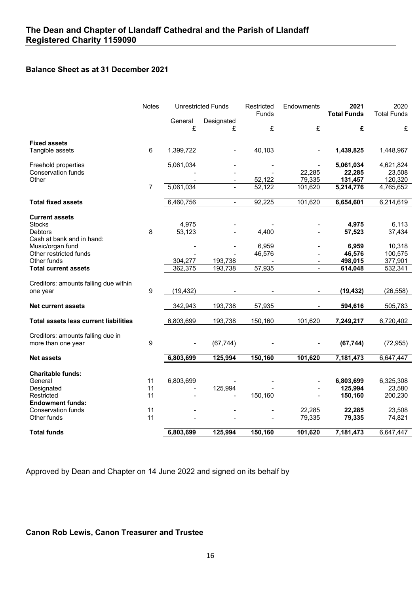## **Balance Sheet as at 31 December 2021**

|                                                         | <b>Notes</b>   |           | <b>Unrestricted Funds</b> | Restricted<br>Funds | Endowments               | 2021<br><b>Total Funds</b> | 2020<br><b>Total Funds</b> |
|---------------------------------------------------------|----------------|-----------|---------------------------|---------------------|--------------------------|----------------------------|----------------------------|
|                                                         |                | General   | Designated                |                     |                          |                            |                            |
|                                                         |                | £         | £                         | £                   | £                        | £                          | £                          |
| <b>Fixed assets</b>                                     |                |           |                           |                     |                          |                            |                            |
| Tangible assets                                         | 6              | 1,399,722 |                           | 40,103              |                          | 1,439,825                  | 1,448,967                  |
| Freehold properties                                     |                | 5,061,034 |                           |                     |                          | 5,061,034                  | 4,621,824                  |
| Conservation funds                                      |                |           |                           |                     | 22,285                   | 22,285                     | 23,508                     |
| Other                                                   |                |           | $\blacksquare$            | 52,122              | 79,335                   | 131,457                    | 120,320                    |
|                                                         | $\overline{7}$ | 5,061,034 |                           | 52,122              | 101,620                  | 5,214,776                  | 4,765,652                  |
| <b>Total fixed assets</b>                               |                | 6,460,756 | $\overline{\phantom{a}}$  | 92,225              | 101,620                  | 6,654,601                  | 6,214,619                  |
| <b>Current assets</b>                                   |                |           |                           |                     |                          |                            |                            |
| <b>Stocks</b>                                           |                | 4,975     |                           |                     |                          | 4,975                      | 6,113                      |
| <b>Debtors</b>                                          | 8              | 53,123    |                           | 4,400               |                          | 57,523                     | 37,434                     |
| Cash at bank and in hand:                               |                |           |                           |                     |                          |                            |                            |
| Music/organ fund                                        |                |           |                           | 6,959               |                          | 6,959                      | 10,318                     |
| Other restricted funds                                  |                |           |                           | 46,576              |                          | 46,576                     | 100,575                    |
| Other funds                                             |                | 304,277   | 193,738                   |                     | $\overline{\phantom{a}}$ | 498,015                    | 377,901                    |
| <b>Total current assets</b>                             |                | 362,375   | 193,738                   | 57,935              | $\sim$                   | 614,048                    | 532,341                    |
|                                                         |                |           |                           |                     |                          |                            |                            |
| Creditors: amounts falling due within                   | 9              |           |                           |                     |                          |                            |                            |
| one year                                                |                | (19, 432) |                           |                     |                          | (19, 432)                  | (26, 558)                  |
| <b>Net current assets</b>                               |                | 342,943   | 193,738                   | 57,935              |                          | 594,616                    | 505,783                    |
| <b>Total assets less current liabilities</b>            |                | 6,803,699 | 193,738                   | 150,160             | 101,620                  | 7,249,217                  | 6,720,402                  |
|                                                         |                |           |                           |                     |                          |                            |                            |
| Creditors: amounts falling due in<br>more than one year | 9              |           | (67, 744)                 |                     |                          | (67, 744)                  | (72, 955)                  |
|                                                         |                |           |                           |                     |                          |                            |                            |
| <b>Net assets</b>                                       |                | 6,803,699 | 125,994                   | 150,160             | 101,620                  | 7,181,473                  | 6,647,447                  |
| <b>Charitable funds:</b>                                |                |           |                           |                     |                          |                            |                            |
| General                                                 | 11             | 6,803,699 |                           |                     |                          | 6,803,699                  | 6,325,308                  |
| Designated                                              | 11             |           | 125,994                   |                     |                          | 125,994                    | 23,580                     |
| Restricted                                              | 11             |           |                           | 150,160             |                          | 150,160                    | 200,230                    |
| <b>Endowment funds:</b>                                 |                |           |                           |                     |                          |                            |                            |
| Conservation funds                                      | 11             |           |                           |                     | 22,285                   | 22,285                     | 23,508                     |
| Other funds                                             | 11             |           |                           |                     | 79,335                   | 79,335                     | 74,821                     |
| <b>Total funds</b>                                      |                | 6,803,699 | 125,994                   | 150,160             | 101,620                  | 7,181,473                  | 6,647,447                  |

Approved by Dean and Chapter on 14 June 2022 and signed on its behalf by

# **Canon Rob Lewis, Canon Treasurer and Trustee**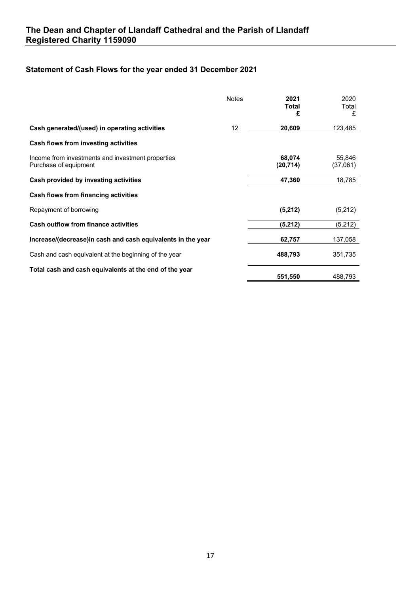# **Statement of Cash Flows for the year ended 31 December 2021**

|                                                                            | <b>Notes</b> | 2021<br>Total<br>£  | 2020<br>Total<br>£ |
|----------------------------------------------------------------------------|--------------|---------------------|--------------------|
| Cash generated/(used) in operating activities                              | 12           | 20,609              | 123,485            |
| Cash flows from investing activities                                       |              |                     |                    |
| Income from investments and investment properties<br>Purchase of equipment |              | 68,074<br>(20, 714) | 55,846<br>(37,061) |
| Cash provided by investing activities                                      |              | 47,360              | 18,785             |
| Cash flows from financing activities                                       |              |                     |                    |
| Repayment of borrowing                                                     |              | (5,212)             | (5,212)            |
| <b>Cash outflow from finance activities</b>                                |              | (5,212)             | (5,212)            |
| Increase/(decrease)in cash and cash equivalents in the year                |              | 62,757              | 137,058            |
| Cash and cash equivalent at the beginning of the year                      |              | 488,793             | 351,735            |
| Total cash and cash equivalents at the end of the year                     |              | 551,550             | 488,793            |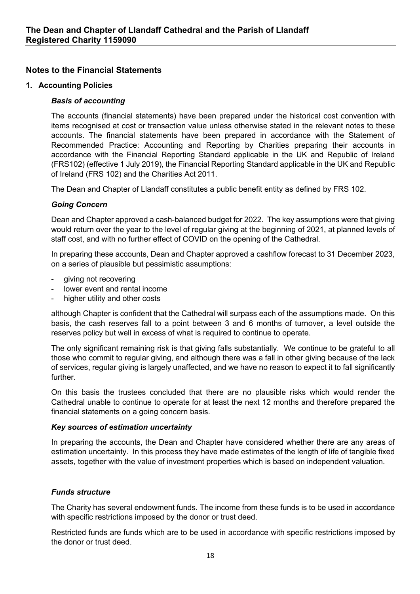## **Notes to the Financial Statements**

## **1. Accounting Policies**

## *Basis of accounting*

The accounts (financial statements) have been prepared under the historical cost convention with items recognised at cost or transaction value unless otherwise stated in the relevant notes to these accounts. The financial statements have been prepared in accordance with the Statement of Recommended Practice: Accounting and Reporting by Charities preparing their accounts in accordance with the Financial Reporting Standard applicable in the UK and Republic of Ireland (FRS102) (effective 1 July 2019), the Financial Reporting Standard applicable in the UK and Republic of Ireland (FRS 102) and the Charities Act 2011.

The Dean and Chapter of Llandaff constitutes a public benefit entity as defined by FRS 102.

## *Going Concern*

Dean and Chapter approved a cash-balanced budget for 2022. The key assumptions were that giving would return over the year to the level of regular giving at the beginning of 2021, at planned levels of staff cost, and with no further effect of COVID on the opening of the Cathedral.

In preparing these accounts, Dean and Chapter approved a cashflow forecast to 31 December 2023, on a series of plausible but pessimistic assumptions:

- giving not recovering
- lower event and rental income
- higher utility and other costs

although Chapter is confident that the Cathedral will surpass each of the assumptions made. On this basis, the cash reserves fall to a point between 3 and 6 months of turnover, a level outside the reserves policy but well in excess of what is required to continue to operate.

The only significant remaining risk is that giving falls substantially. We continue to be grateful to all those who commit to regular giving, and although there was a fall in other giving because of the lack of services, regular giving is largely unaffected, and we have no reason to expect it to fall significantly further.

On this basis the trustees concluded that there are no plausible risks which would render the Cathedral unable to continue to operate for at least the next 12 months and therefore prepared the financial statements on a going concern basis.

## *Key sources of estimation uncertainty*

In preparing the accounts, the Dean and Chapter have considered whether there are any areas of estimation uncertainty. In this process they have made estimates of the length of life of tangible fixed assets, together with the value of investment properties which is based on independent valuation.

## *Funds structure*

The Charity has several endowment funds. The income from these funds is to be used in accordance with specific restrictions imposed by the donor or trust deed.

Restricted funds are funds which are to be used in accordance with specific restrictions imposed by the donor or trust deed.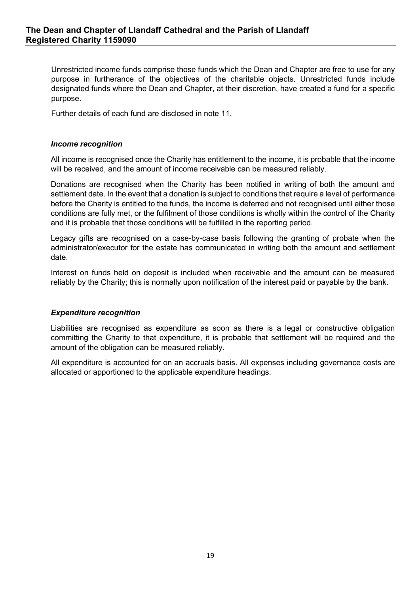Unrestricted income funds comprise those funds which the Dean and Chapter are free to use for any purpose in furtherance of the objectives of the charitable objects. Unrestricted funds include designated funds where the Dean and Chapter, at their discretion, have created a fund for a specific purpose.

Further details of each fund are disclosed in note 11.

#### *Income recognition*

All income is recognised once the Charity has entitlement to the income, it is probable that the income will be received, and the amount of income receivable can be measured reliably.

Donations are recognised when the Charity has been notified in writing of both the amount and settlement date. In the event that a donation is subject to conditions that require a level of performance before the Charity is entitled to the funds, the income is deferred and not recognised until either those conditions are fully met, or the fulfilment of those conditions is wholly within the control of the Charity and it is probable that those conditions will be fulfilled in the reporting period.

Legacy gifts are recognised on a case-by-case basis following the granting of probate when the administrator/executor for the estate has communicated in writing both the amount and settlement date.

Interest on funds held on deposit is included when receivable and the amount can be measured reliably by the Charity; this is normally upon notification of the interest paid or payable by the bank.

#### *Expenditure recognition*

Liabilities are recognised as expenditure as soon as there is a legal or constructive obligation committing the Charity to that expenditure, it is probable that settlement will be required and the amount of the obligation can be measured reliably.

All expenditure is accounted for on an accruals basis. All expenses including governance costs are allocated or apportioned to the applicable expenditure headings.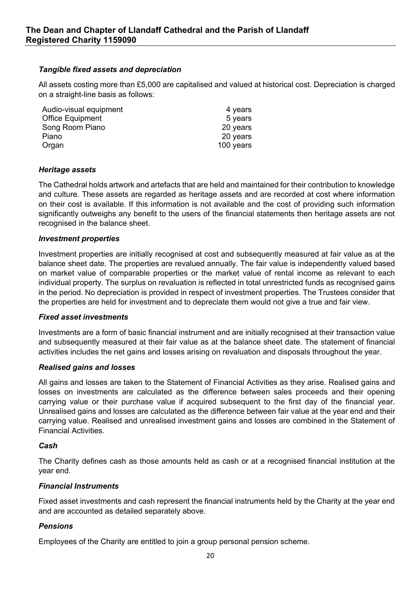## *Tangible fixed assets and depreciation*

All assets costing more than £5,000 are capitalised and valued at historical cost. Depreciation is charged on a straight-line basis as follows:

| Audio-visual equipment  | 4 years   |
|-------------------------|-----------|
| <b>Office Equipment</b> | 5 years   |
| Song Room Piano         | 20 years  |
| Piano                   | 20 years  |
| Organ                   | 100 years |

## *Heritage assets*

The Cathedral holds artwork and artefacts that are held and maintained for their contribution to knowledge and culture. These assets are regarded as heritage assets and are recorded at cost where information on their cost is available. If this information is not available and the cost of providing such information significantly outweighs any benefit to the users of the financial statements then heritage assets are not recognised in the balance sheet.

## *Investment properties*

Investment properties are initially recognised at cost and subsequently measured at fair value as at the balance sheet date. The properties are revalued annually. The fair value is independently valued based on market value of comparable properties or the market value of rental income as relevant to each individual property. The surplus on revaluation is reflected in total unrestricted funds as recognised gains in the period. No depreciation is provided in respect of investment properties. The Trustees consider that the properties are held for investment and to depreciate them would not give a true and fair view.

## *Fixed asset investments*

Investments are a form of basic financial instrument and are initially recognised at their transaction value and subsequently measured at their fair value as at the balance sheet date. The statement of financial activities includes the net gains and losses arising on revaluation and disposals throughout the year.

## *Realised gains and losses*

All gains and losses are taken to the Statement of Financial Activities as they arise. Realised gains and losses on investments are calculated as the difference between sales proceeds and their opening carrying value or their purchase value if acquired subsequent to the first day of the financial year. Unrealised gains and losses are calculated as the difference between fair value at the year end and their carrying value. Realised and unrealised investment gains and losses are combined in the Statement of Financial Activities.

#### *Cash*

The Charity defines cash as those amounts held as cash or at a recognised financial institution at the year end.

## *Financial Instruments*

Fixed asset investments and cash represent the financial instruments held by the Charity at the year end and are accounted as detailed separately above.

## *Pensions*

Employees of the Charity are entitled to join a group personal pension scheme.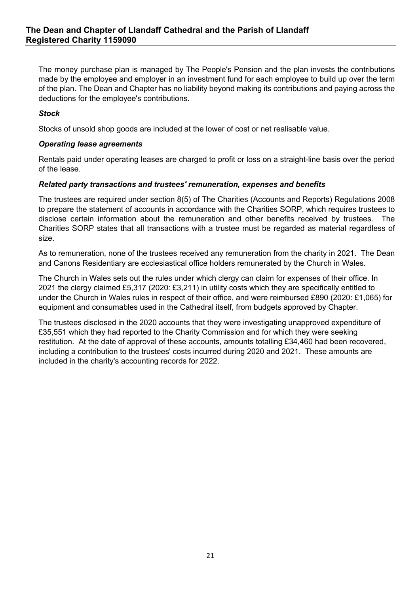The money purchase plan is managed by The People's Pension and the plan invests the contributions made by the employee and employer in an investment fund for each employee to build up over the term of the plan. The Dean and Chapter has no liability beyond making its contributions and paying across the deductions for the employee's contributions.

## *Stock*

Stocks of unsold shop goods are included at the lower of cost or net realisable value.

## *Operating lease agreements*

Rentals paid under operating leases are charged to profit or loss on a straight-line basis over the period of the lease.

## *Related party transactions and trustees' remuneration, expenses and benefits*

The trustees are required under section 8(5) of The Charities (Accounts and Reports) Regulations 2008 to prepare the statement of accounts in accordance with the Charities SORP, which requires trustees to disclose certain information about the remuneration and other benefits received by trustees. The Charities SORP states that all transactions with a trustee must be regarded as material regardless of size.

As to remuneration, none of the trustees received any remuneration from the charity in 2021. The Dean and Canons Residentiary are ecclesiastical office holders remunerated by the Church in Wales.

The Church in Wales sets out the rules under which clergy can claim for expenses of their office. In 2021 the clergy claimed £5,317 (2020: £3,211) in utility costs which they are specifically entitled to under the Church in Wales rules in respect of their office, and were reimbursed £890 (2020: £1,065) for equipment and consumables used in the Cathedral itself, from budgets approved by Chapter.

The trustees disclosed in the 2020 accounts that they were investigating unapproved expenditure of £35,551 which they had reported to the Charity Commission and for which they were seeking restitution. At the date of approval of these accounts, amounts totalling £34,460 had been recovered, including a contribution to the trustees' costs incurred during 2020 and 2021. These amounts are included in the charity's accounting records for 2022.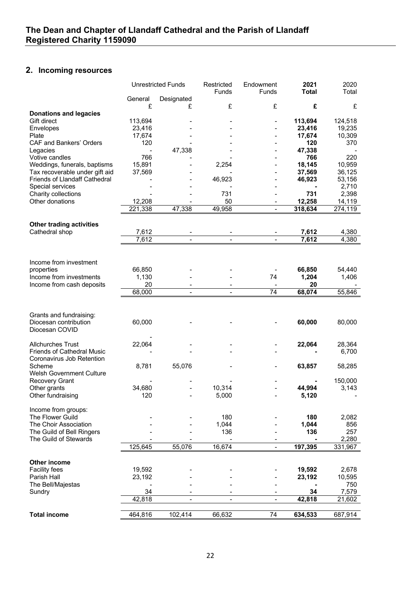# **2. Incoming resources**

|                                                      |                                    | <b>Unrestricted Funds</b> | Restricted<br>Funds | Endowment<br>Funds           | 2021<br><b>Total</b> | 2020<br>Total   |
|------------------------------------------------------|------------------------------------|---------------------------|---------------------|------------------------------|----------------------|-----------------|
|                                                      | General                            | Designated                |                     |                              |                      |                 |
| <b>Donations and legacies</b>                        | £                                  | £                         | £                   | £                            | £                    | £               |
| Gift direct                                          | 113,694                            |                           |                     |                              | 113,694              | 124,518         |
| Envelopes                                            | 23,416                             |                           |                     |                              | 23,416               | 19,235          |
| Plate                                                | 17,674                             |                           |                     |                              | 17,674               | 10,309          |
| <b>CAF and Bankers' Orders</b>                       | 120<br>$\overline{\phantom{0}}$    |                           |                     |                              | 120<br>47,338        | 370             |
| Legacies<br>Votive candles                           | 766                                | 47,338                    |                     |                              | 766                  | 220             |
| Weddings, funerals, baptisms                         | 15,891                             |                           | 2,254               |                              | 18,145               | 10,959          |
| Tax recoverable under gift aid                       | 37,569                             |                           |                     |                              | 37,569               | 36,125          |
| Friends of Llandaff Cathedral                        |                                    |                           | 46,923              |                              | 46,923               | 53,156          |
| Special services<br>Charity collections              |                                    |                           | 731                 |                              | 731                  | 2,710<br>2,398  |
| Other donations                                      | 12,208                             |                           | 50                  | $\qquad \qquad \blacksquare$ | 12,258               | 14,119          |
|                                                      | 221,338                            | 47,338                    | 49,958              | -                            | 318,634              | 274,119         |
|                                                      |                                    |                           |                     |                              |                      |                 |
| <b>Other trading activities</b>                      |                                    |                           |                     |                              |                      |                 |
| Cathedral shop                                       | 7,612<br>7,612                     | $\mathbf{r}$              |                     | $\overline{a}$               | 7,612<br>7,612       | 4,380<br>4,380  |
|                                                      |                                    |                           |                     |                              |                      |                 |
|                                                      |                                    |                           |                     |                              |                      |                 |
| Income from investment                               |                                    |                           |                     |                              |                      |                 |
| properties                                           | 66,850                             |                           |                     |                              | 66,850               | 54,440          |
| Income from investments<br>Income from cash deposits | 1,130<br>20                        |                           |                     | 74                           | 1,204<br>20          | 1,406           |
|                                                      | 68,000                             |                           |                     | 74                           | 68,074               | 55,846          |
|                                                      |                                    |                           |                     |                              |                      |                 |
|                                                      |                                    |                           |                     |                              |                      |                 |
| Grants and fundraising:<br>Diocesan contribution     | 60,000                             |                           |                     |                              | 60,000               | 80,000          |
| Diocesan COVID                                       |                                    |                           |                     |                              |                      |                 |
|                                                      |                                    |                           |                     |                              |                      |                 |
| <b>Allchurches Trust</b>                             | 22,064                             |                           |                     |                              | 22,064               | 28,364          |
| <b>Friends of Cathedral Music</b>                    |                                    |                           |                     |                              |                      | 6,700           |
| Coronavirus Job Retention<br>Scheme                  | 8,781                              | 55,076                    |                     |                              | 63,857               | 58,285          |
| <b>Welsh Government Culture</b>                      |                                    |                           |                     |                              |                      |                 |
| Recovery Grant                                       |                                    |                           |                     |                              |                      | 150,000         |
| Other grants                                         | 34,680                             |                           | 10,314              |                              | 44,994               | 3,143           |
| Other fundraising                                    | 120                                |                           | 5,000               |                              | 5,120                |                 |
| Income from groups:                                  |                                    |                           |                     |                              |                      |                 |
| The Flower Guild                                     |                                    |                           | 180                 |                              | 180                  | 2,082           |
| The Choir Association                                |                                    |                           | 1,044               |                              | 1,044                | 856             |
| The Guild of Bell Ringers                            |                                    |                           | 136                 |                              | 136                  | 257             |
| The Guild of Stewards                                | 125,645                            | 55,076                    | 16,674              | $\overline{\phantom{0}}$     | 197,395              | 2,280           |
|                                                      |                                    |                           |                     |                              |                      | 331,967         |
| <b>Other income</b>                                  |                                    |                           |                     |                              |                      |                 |
| <b>Facility fees</b>                                 | 19,592                             |                           |                     |                              | 19,592               | 2,678           |
| Parish Hall                                          | 23,192                             |                           |                     |                              | 23,192               | 10,595          |
| The Bell/Majestas                                    | $\qquad \qquad \blacksquare$<br>34 |                           |                     |                              | 34                   | 750             |
| Sundry                                               | 42,818                             | $\overline{\phantom{a}}$  |                     |                              | 42,818               | 7,579<br>21,602 |
|                                                      |                                    |                           |                     |                              |                      |                 |
| <b>Total income</b>                                  | 464,816                            | 102,414                   | 66,632              | 74                           | 634,533              | 687,914         |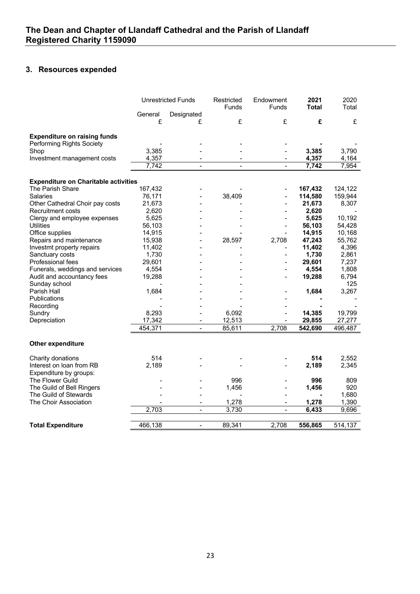## **3. Resources expended**

|                                             |         | <b>Unrestricted Funds</b> | Restricted<br>Funds | Endowment<br>Funds       | 2021<br><b>Total</b> | 2020<br>Total |
|---------------------------------------------|---------|---------------------------|---------------------|--------------------------|----------------------|---------------|
|                                             | General | Designated                |                     |                          |                      |               |
|                                             | £       | £                         | £                   | £                        | £                    | £             |
| <b>Expenditure on raising funds</b>         |         |                           |                     |                          |                      |               |
| Performing Rights Society                   |         |                           |                     |                          |                      |               |
| Shop                                        | 3,385   |                           |                     |                          | 3,385                | 3,790         |
| Investment management costs                 | 4,357   |                           |                     | $\overline{\phantom{a}}$ | 4,357                | 4,164         |
|                                             | 7,742   | $\overline{a}$            | $\overline{a}$      |                          | 7,742                | 7,954         |
| <b>Expenditure on Charitable activities</b> |         |                           |                     |                          |                      |               |
| The Parish Share                            | 167,432 |                           |                     |                          | 167,432              | 124,122       |
| <b>Salaries</b>                             | 76,171  |                           | 38,409              |                          | 114,580              | 159,944       |
| Other Cathedral Choir pay costs             | 21,673  |                           |                     |                          | 21,673               | 8,307         |
| <b>Recruitment costs</b>                    | 2,620   |                           |                     |                          | 2,620                |               |
| Clergy and employee expenses                | 5,625   |                           |                     |                          | 5,625                | 10,192        |
| <b>Utilities</b>                            | 56,103  |                           |                     | $\blacksquare$           | 56,103               | 54,428        |
| Office supplies                             | 14,915  |                           |                     |                          | 14,915               | 10,168        |
| Repairs and maintenance                     | 15,938  |                           | 28,597              | 2,708                    | 47,243               | 55,762        |
| Investmt property repairs                   | 11,402  |                           |                     |                          | 11,402               | 4,396         |
| Sanctuary costs                             | 1,730   |                           |                     |                          | 1,730                | 2,861         |
| Professional fees                           | 29,601  |                           |                     | $\overline{a}$           | 29,601               | 7,237         |
| Funerals, weddings and services             | 4,554   |                           |                     |                          | 4,554                | 1,808         |
| Audit and accountancy fees                  | 19,288  |                           |                     |                          | 19,288               | 6,794         |
| Sunday school                               |         |                           |                     |                          |                      | 125           |
| Parish Hall                                 | 1,684   |                           |                     |                          | 1,684                | 3,267         |
| Publications                                |         |                           |                     |                          |                      |               |
| Recording                                   |         |                           |                     |                          |                      |               |
| Sundry                                      | 8,293   |                           | 6,092               |                          | 14,385               | 19,799        |
| Depreciation                                | 17,342  |                           | 12,513              |                          | 29,855               | 27,277        |
|                                             | 454,371 | $\overline{\phantom{a}}$  | 85,611              | 2,708                    | 542,690              | 496,487       |
| Other expenditure                           |         |                           |                     |                          |                      |               |
| Charity donations                           | 514     |                           |                     |                          | 514                  | 2,552         |
| Interest on loan from RB                    | 2,189   |                           |                     |                          | 2,189                | 2,345         |
| Expenditure by groups:                      |         |                           |                     |                          |                      |               |
| The Flower Guild                            |         |                           | 996                 |                          | 996                  | 809           |
| The Guild of Bell Ringers                   |         |                           | 1,456               |                          | 1,456                | 920           |
| The Guild of Stewards                       |         |                           |                     |                          |                      | 1,680         |
| The Choir Association                       |         |                           | 1,278               |                          | 1,278                | 1,390         |
|                                             | 2,703   | $\frac{1}{2}$             | 3,730               | $\blacksquare$           | 6,433                | 9,696         |
|                                             |         |                           |                     |                          |                      |               |
| <b>Total Expenditure</b>                    | 466,138 | $\overline{a}$            | 89,341              | 2,708                    | 556,865              | 514,137       |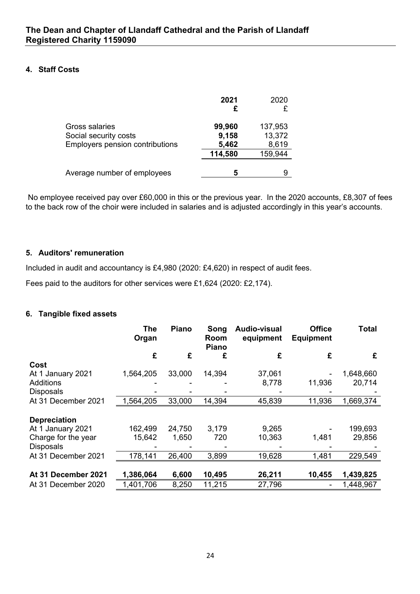## **4. Staff Costs**

|                                                                                   | 2021                     | 2020<br>£                  |
|-----------------------------------------------------------------------------------|--------------------------|----------------------------|
| Gross salaries<br>Social security costs<br><b>Employers pension contributions</b> | 99,960<br>9,158<br>5,462 | 137,953<br>13,372<br>8,619 |
|                                                                                   | 114,580                  | 159,944                    |
| Average number of employees                                                       | 5                        | 9                          |

No employee received pay over £60,000 in this or the previous year. In the 2020 accounts, £8,307 of fees to the back row of the choir were included in salaries and is adjusted accordingly in this year's accounts.

## **5. Auditors' remuneration**

Included in audit and accountancy is £4,980 (2020: £4,620) in respect of audit fees.

Fees paid to the auditors for other services were £1,624 (2020: £2,174).

## **6. Tangible fixed assets**

|                     | <b>The</b><br>Organ | Piano  | Song<br>Room<br><b>Piano</b> | Audio-visual<br>equipment | <b>Office</b><br><b>Equipment</b> | <b>Total</b> |
|---------------------|---------------------|--------|------------------------------|---------------------------|-----------------------------------|--------------|
|                     | £                   | £      | £                            | £                         | £                                 | £            |
| Cost                |                     |        |                              |                           |                                   |              |
| At 1 January 2021   | 1,564,205           | 33,000 | 14,394                       | 37,061                    |                                   | 1,648,660    |
| <b>Additions</b>    |                     |        |                              | 8,778                     | 11,936                            | 20,714       |
| <b>Disposals</b>    |                     |        |                              |                           |                                   |              |
| At 31 December 2021 | 1,564,205           | 33,000 | 14,394                       | 45,839                    | 11,936                            | 1,669,374    |
| <b>Depreciation</b> |                     |        |                              |                           |                                   |              |
| At 1 January 2021   | 162,499             | 24,750 | 3,179                        | 9,265                     |                                   | 199,693      |
| Charge for the year | 15,642              | 1,650  | 720                          | 10,363                    | 1,481                             | 29,856       |
| <b>Disposals</b>    |                     |        |                              |                           |                                   |              |
| At 31 December 2021 | 178,141             | 26,400 | 3,899                        | 19,628                    | 1,481                             | 229,549      |
|                     |                     |        |                              |                           |                                   |              |
| At 31 December 2021 | 1,386,064           | 6,600  | 10,495                       | 26,211                    | 10,455                            | 1,439,825    |
| At 31 December 2020 | 1,401,706           | 8,250  | 11,215                       | 27,796                    |                                   | 1,448,967    |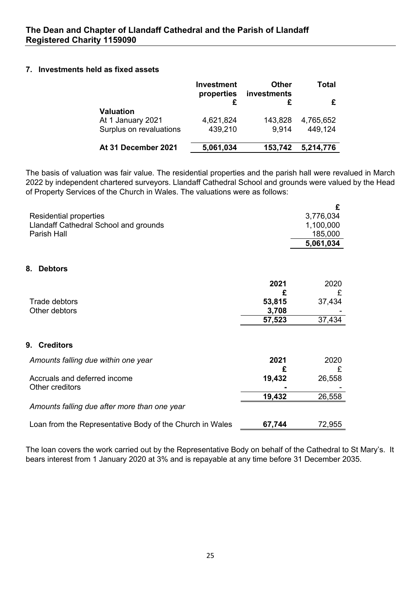## **7. Investments held as fixed assets**

|                         | <b>Investment</b><br>properties | Other<br>investments | Total     |  |
|-------------------------|---------------------------------|----------------------|-----------|--|
|                         |                                 |                      |           |  |
| Valuation               |                                 |                      |           |  |
| At 1 January 2021       | 4,621,824                       | 143,828              | 4,765,652 |  |
| Surplus on revaluations | 439,210                         | 9.914                | 449,124   |  |
|                         |                                 |                      |           |  |
| At 31 December 2021     | 5,061,034                       | 153,742              | 5,214,776 |  |

The basis of valuation was fair value. The residential properties and the parish hall were revalued in March 2022 by independent chartered surveyors. Llandaff Cathedral School and grounds were valued by the Head of Property Services of the Church in Wales. The valuations were as follows:

|                                                          |        | £         |
|----------------------------------------------------------|--------|-----------|
| <b>Residential properties</b>                            |        | 3,776,034 |
| Llandaff Cathedral School and grounds                    |        | 1,100,000 |
| Parish Hall                                              |        | 185,000   |
|                                                          |        | 5,061,034 |
|                                                          |        |           |
| 8.<br><b>Debtors</b>                                     |        |           |
|                                                          | 2021   | 2020      |
|                                                          | £      | £         |
| Trade debtors                                            | 53,815 | 37,434    |
| Other debtors                                            | 3,708  |           |
|                                                          | 57,523 | 37,434    |
| 9.<br><b>Creditors</b>                                   |        |           |
|                                                          |        |           |
| Amounts falling due within one year                      | 2021   | 2020      |
|                                                          | £      | £         |
| Accruals and deferred income                             | 19,432 | 26,558    |
| Other creditors                                          |        |           |
|                                                          | 19,432 | 26,558    |
| Amounts falling due after more than one year             |        |           |
| Loan from the Representative Body of the Church in Wales | 67,744 | 72,955    |

The loan covers the work carried out by the Representative Body on behalf of the Cathedral to St Mary's. It bears interest from 1 January 2020 at 3% and is repayable at any time before 31 December 2035.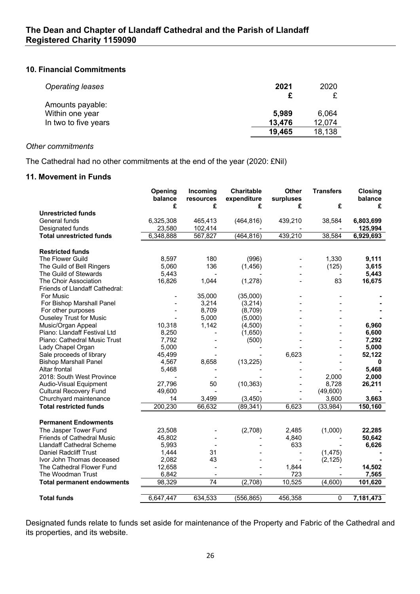#### **10. Financial Commitments**

| <b>Operating leases</b> | 2021   | 2020   |
|-------------------------|--------|--------|
| Amounts payable:        |        |        |
| Within one year         | 5,989  | 6,064  |
| In two to five years    | 13,476 | 12,074 |
|                         | 19,465 | 18,138 |

## *Other commitments*

The Cathedral had no other commitments at the end of the year (2020: £Nil)

#### **11. Movement in Funds**

|                                   | Opening<br>balance | Incoming<br>resources    | <b>Charitable</b><br>expenditure | <b>Other</b><br>surpluses | <b>Transfers</b> | <b>Closing</b><br>balance |
|-----------------------------------|--------------------|--------------------------|----------------------------------|---------------------------|------------------|---------------------------|
|                                   | £                  | £                        | £                                | £                         | £                | £                         |
| <b>Unrestricted funds</b>         |                    |                          |                                  |                           |                  |                           |
| General funds                     | 6,325,308          | 465,413                  | (464, 816)                       | 439,210                   | 38,584           | 6,803,699                 |
| Designated funds                  | 23,580             | 102,414                  |                                  |                           |                  | 125,994                   |
| <b>Total unrestricted funds</b>   | 6,348,888          | 567,827                  | (464, 816)                       | 439,210                   | 38,584           | 6,929,693                 |
|                                   |                    |                          |                                  |                           |                  |                           |
| <b>Restricted funds</b>           |                    |                          |                                  |                           |                  |                           |
| The Flower Guild                  | 8,597              | 180                      | (996)                            |                           | 1,330            | 9,111                     |
| The Guild of Bell Ringers         | 5,060              | 136                      | (1, 456)                         |                           | (125)            | 3,615                     |
| The Guild of Stewards             | 5,443              | $\overline{\phantom{a}}$ |                                  |                           |                  | 5,443                     |
| The Choir Association             | 16,826             | 1,044                    | (1,278)                          |                           | 83               | 16,675                    |
| Friends of Llandaff Cathedral:    |                    |                          |                                  |                           |                  |                           |
| For Music                         |                    | 35,000                   | (35,000)                         |                           |                  |                           |
| For Bishop Marshall Panel         |                    | 3,214                    | (3,214)                          |                           |                  |                           |
| For other purposes                |                    | 8,709                    | (8,709)                          |                           |                  |                           |
| <b>Ouseley Trust for Music</b>    |                    | 5,000                    | (5,000)                          |                           |                  |                           |
| Music/Organ Appeal                | 10,318             | 1,142                    | (4,500)                          |                           |                  | 6,960                     |
| Piano: Llandaff Festival Ltd      | 8,250              |                          | (1,650)                          |                           |                  | 6,600                     |
| Piano: Cathedral Music Trust      | 7,792              |                          | (500)                            |                           |                  | 7,292                     |
| Lady Chapel Organ                 | 5,000              |                          |                                  |                           |                  | 5,000                     |
| Sale proceeds of library          | 45,499             |                          |                                  | 6,623                     |                  | 52,122                    |
| <b>Bishop Marshall Panel</b>      | 4,567              | 8,658                    | (13, 225)                        |                           |                  | 0                         |
| Altar frontal                     | 5,468              |                          |                                  |                           |                  | 5,468                     |
| 2018: South West Province         |                    |                          |                                  |                           | 2,000            | 2,000                     |
| Audio-Visual Equipment            | 27,796             | 50                       | (10, 363)                        |                           | 8,728            | 26,211                    |
| <b>Cultural Recovery Fund</b>     | 49,600             |                          |                                  |                           | (49,600)         |                           |
| Churchyard maintenance            | 14                 | 3,499                    | (3,450)                          |                           | 3,600            | 3,663                     |
| <b>Total restricted funds</b>     | 200,230            | 66,632                   | (89, 341)                        | 6,623                     | (33, 984)        | 150,160                   |
|                                   |                    |                          |                                  |                           |                  |                           |
| <b>Permanent Endowments</b>       |                    |                          |                                  |                           |                  |                           |
| The Jasper Tower Fund             | 23,508             |                          | (2,708)                          | 2,485                     | (1,000)          | 22,285                    |
| <b>Friends of Cathedral Music</b> | 45,802             |                          |                                  | 4,840                     |                  | 50,642                    |
| <b>Llandaff Cathedral Scheme</b>  | 5,993              |                          |                                  | 633                       |                  | 6,626                     |
| <b>Daniel Radcliff Trust</b>      | 1,444              | 31                       |                                  |                           | (1, 475)         |                           |
| Ivor John Thomas deceased         | 2,082              | 43                       |                                  |                           | (2, 125)         |                           |
| The Cathedral Flower Fund         | 12,658             |                          |                                  | 1,844                     |                  | 14,502                    |
| The Woodman Trust                 | 6,842              |                          |                                  | 723                       |                  | 7,565                     |
|                                   | 98,329             | $\overline{74}$          | (2,708)                          | 10,525                    | (4,600)          |                           |
| <b>Total permanent endowments</b> |                    |                          |                                  |                           |                  | 101,620                   |
| <b>Total funds</b>                | 6,647,447          | 634,533                  | (556, 865)                       | 456,358                   | 0                | 7,181,473                 |

Designated funds relate to funds set aside for maintenance of the Property and Fabric of the Cathedral and its properties, and its website.